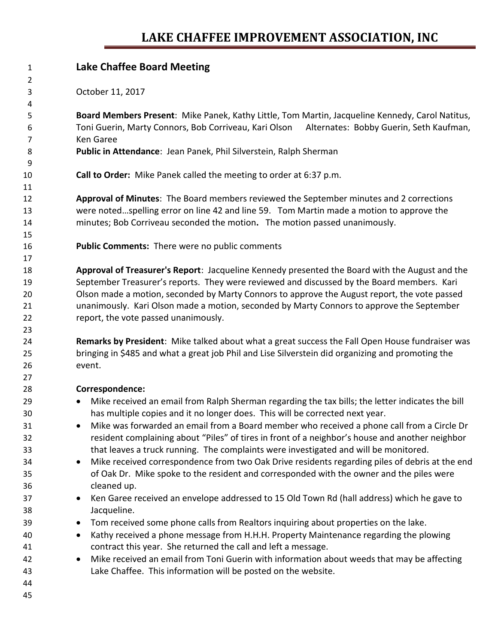## **LAKE CHAFFEE IMPROVEMENT ASSOCIATION, INC**

| 1  | <b>Lake Chaffee Board Meeting</b>                                                                             |
|----|---------------------------------------------------------------------------------------------------------------|
| 2  |                                                                                                               |
| 3  | October 11, 2017                                                                                              |
| 4  |                                                                                                               |
| 5  | Board Members Present: Mike Panek, Kathy Little, Tom Martin, Jacqueline Kennedy, Carol Natitus,               |
| 6  | Toni Guerin, Marty Connors, Bob Corriveau, Kari Olson<br>Alternates: Bobby Guerin, Seth Kaufman,              |
| 7  | <b>Ken Garee</b>                                                                                              |
| 8  | Public in Attendance: Jean Panek, Phil Silverstein, Ralph Sherman                                             |
| 9  |                                                                                                               |
| 10 | Call to Order: Mike Panek called the meeting to order at 6:37 p.m.                                            |
| 11 |                                                                                                               |
| 12 | Approval of Minutes: The Board members reviewed the September minutes and 2 corrections                       |
| 13 | were notedspelling error on line 42 and line 59. Tom Martin made a motion to approve the                      |
| 14 | minutes; Bob Corriveau seconded the motion. The motion passed unanimously.                                    |
| 15 |                                                                                                               |
| 16 | <b>Public Comments:</b> There were no public comments                                                         |
| 17 |                                                                                                               |
| 18 | Approval of Treasurer's Report: Jacqueline Kennedy presented the Board with the August and the                |
| 19 | September Treasurer's reports. They were reviewed and discussed by the Board members. Kari                    |
| 20 | Olson made a motion, seconded by Marty Connors to approve the August report, the vote passed                  |
| 21 | unanimously. Kari Olson made a motion, seconded by Marty Connors to approve the September                     |
| 22 | report, the vote passed unanimously.                                                                          |
| 23 |                                                                                                               |
| 24 | Remarks by President: Mike talked about what a great success the Fall Open House fundraiser was               |
| 25 | bringing in \$485 and what a great job Phil and Lise Silverstein did organizing and promoting the             |
| 26 | event.                                                                                                        |
| 27 |                                                                                                               |
| 28 | Correspondence:                                                                                               |
| 29 | Mike received an email from Ralph Sherman regarding the tax bills; the letter indicates the bill<br>$\bullet$ |
| 30 | has multiple copies and it no longer does. This will be corrected next year.                                  |
| 31 | Mike was forwarded an email from a Board member who received a phone call from a Circle Dr                    |
| 32 | resident complaining about "Piles" of tires in front of a neighbor's house and another neighbor               |
| 33 | that leaves a truck running. The complaints were investigated and will be monitored.                          |
| 34 | Mike received correspondence from two Oak Drive residents regarding piles of debris at the end                |
| 35 | of Oak Dr. Mike spoke to the resident and corresponded with the owner and the piles were                      |
| 36 | cleaned up.                                                                                                   |
| 37 | Ken Garee received an envelope addressed to 15 Old Town Rd (hall address) which he gave to                    |
| 38 | Jacqueline.                                                                                                   |
| 39 | Tom received some phone calls from Realtors inquiring about properties on the lake.                           |
| 40 | Kathy received a phone message from H.H.H. Property Maintenance regarding the plowing<br>٠                    |
| 41 | contract this year. She returned the call and left a message.                                                 |
| 42 | Mike received an email from Toni Guerin with information about weeds that may be affecting                    |
| 43 | Lake Chaffee. This information will be posted on the website.                                                 |
| 44 |                                                                                                               |
| 45 |                                                                                                               |
|    |                                                                                                               |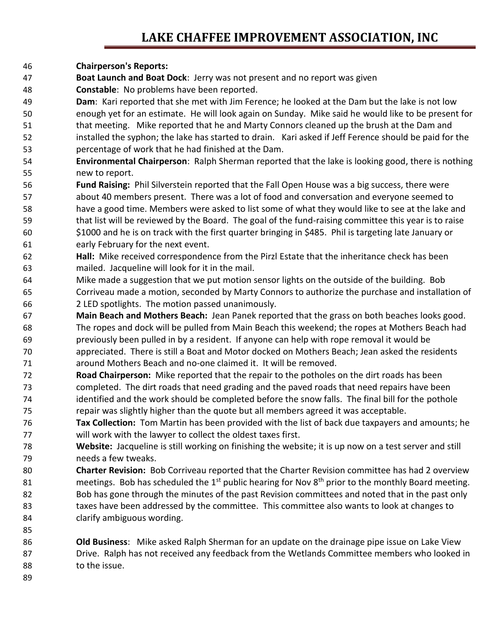## **LAKE CHAFFEE IMPROVEMENT ASSOCIATION, INC**

- **Chairperson's Reports:**
- **Boat Launch and Boat Dock**: Jerry was not present and no report was given
- **Constable**: No problems have been reported.
- **Dam**: Kari reported that she met with Jim Ference; he looked at the Dam but the lake is not low enough yet for an estimate. He will look again on Sunday. Mike said he would like to be present for that meeting. Mike reported that he and Marty Connors cleaned up the brush at the Dam and installed the syphon; the lake has started to drain. Kari asked if Jeff Ference should be paid for the percentage of work that he had finished at the Dam.
- **Environmental Chairperson**: Ralph Sherman reported that the lake is looking good, there is nothing new to report.
- **Fund Raising:** Phil Silverstein reported that the Fall Open House was a big success, there were about 40 members present. There was a lot of food and conversation and everyone seemed to have a good time. Members were asked to list some of what they would like to see at the lake and that list will be reviewed by the Board. The goal of the fund-raising committee this year is to raise \$1000 and he is on track with the first quarter bringing in \$485. Phil is targeting late January or early February for the next event.
- **Hall:** Mike received correspondence from the Pirzl Estate that the inheritance check has been mailed. Jacqueline will look for it in the mail.
- Mike made a suggestion that we put motion sensor lights on the outside of the building. Bob Corriveau made a motion, seconded by Marty Connors to authorize the purchase and installation of 2 LED spotlights. The motion passed unanimously.
- **Main Beach and Mothers Beach:** Jean Panek reported that the grass on both beaches looks good. The ropes and dock will be pulled from Main Beach this weekend; the ropes at Mothers Beach had previously been pulled in by a resident. If anyone can help with rope removal it would be appreciated. There is still a Boat and Motor docked on Mothers Beach; Jean asked the residents around Mothers Beach and no-one claimed it. It will be removed.
- **Road Chairperson:** Mike reported that the repair to the potholes on the dirt roads has been completed. The dirt roads that need grading and the paved roads that need repairs have been identified and the work should be completed before the snow falls. The final bill for the pothole repair was slightly higher than the quote but all members agreed it was acceptable.
- **Tax Collection:** Tom Martin has been provided with the list of back due taxpayers and amounts; he will work with the lawyer to collect the oldest taxes first.
- **Website:** Jacqueline is still working on finishing the website; it is up now on a test server and still needs a few tweaks.
- **Charter Revision:** Bob Corriveau reported that the Charter Revision committee has had 2 overview 81 meetings. Bob has scheduled the  $1<sup>st</sup>$  public hearing for Nov 8<sup>th</sup> prior to the monthly Board meeting. Bob has gone through the minutes of the past Revision committees and noted that in the past only 83 taxes have been addressed by the committee. This committee also wants to look at changes to clarify ambiguous wording.
- **Old Business**: Mike asked Ralph Sherman for an update on the drainage pipe issue on Lake View Drive. Ralph has not received any feedback from the Wetlands Committee members who looked in to the issue.
-